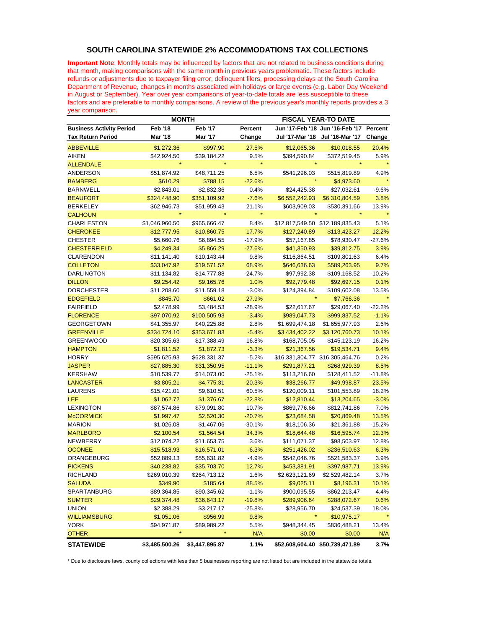## **SOUTH CAROLINA STATEWIDE 2% ACCOMMODATIONS TAX COLLECTIONS**

**Important Note**: Monthly totals may be influenced by factors that are not related to business conditions during that month, making comparisons with the same month in previous years problematic. These factors include refunds or adjustments due to taxpayer filing error, delinquent filers, processing delays at the South Carolina Department of Revenue, changes in months associated with holidays or large events (e.g. Labor Day Weekend in August or September). Year over year comparisons of year-to-date totals are less susceptible to these factors and are preferable to monthly comparisons. A review of the previous year's monthly reports provides a 3 year comparison.

|                                 | <b>MONTH</b>   |                |          | <b>FISCAL YEAR-TO DATE</b>      |                                 |          |
|---------------------------------|----------------|----------------|----------|---------------------------------|---------------------------------|----------|
| <b>Business Activity Period</b> | <b>Feb '18</b> | <b>Feb '17</b> | Percent  |                                 | Jun '17-Feb '18 Jun '16-Feb '17 | Percent  |
| <b>Tax Return Period</b>        | Mar '18        | <b>Mar '17</b> | Change   | Jul '17-Mar '18                 | Jul '16-Mar '17                 | Change   |
| <b>ABBEVILLE</b>                | \$1,272.36     | \$997.90       | 27.5%    | \$12,065.36                     | \$10,018.55                     | 20.4%    |
| <b>AIKEN</b>                    | \$42,924.50    | \$39,184.22    | 9.5%     | \$394,590.84                    | \$372,519.45                    | 5.9%     |
| <b>ALLENDALE</b>                |                |                |          |                                 |                                 |          |
| <b>ANDERSON</b>                 | \$51,874.92    | \$48,711.25    | 6.5%     | \$541,296.03                    | \$515,819.89                    | 4.9%     |
| <b>BAMBERG</b>                  | \$610.29       | \$788.15       | $-22.6%$ | $\star$                         | \$4,973.60                      |          |
| <b>BARNWELL</b>                 | \$2,843.01     | \$2,832.36     | 0.4%     | \$24,425.38                     | \$27,032.61                     | $-9.6%$  |
| <b>BEAUFORT</b>                 | \$324,448.90   | \$351,109.92   | $-7.6%$  | \$6,552,242.93                  | \$6,310,804.59                  | 3.8%     |
| <b>BERKELEY</b>                 | \$62,946.73    | \$51,959.43    | 21.1%    | \$603,909.03                    | \$530,391.66                    | 13.9%    |
| <b>CALHOUN</b>                  |                |                | ÷        |                                 |                                 |          |
| <b>CHARLESTON</b>               | \$1,046,960.50 | \$965,666.47   | 8.4%     |                                 |                                 | 5.1%     |
| <b>CHEROKEE</b>                 | \$12,777.95    | \$10,860.75    | 17.7%    | \$127,240.89                    | \$113,423.27                    | 12.2%    |
| <b>CHESTER</b>                  | \$5,660.76     | \$6,894.55     | $-17.9%$ | \$57,167.85                     | \$78,930.47                     | $-27.6%$ |
| <b>CHESTERFIELD</b>             | \$4,249.34     | \$5,866.29     | $-27.6%$ | \$41,350.93                     | \$39,812.75                     | 3.9%     |
| <b>CLARENDON</b>                | \$11,141.40    | \$10,143.44    | 9.8%     | \$116,864.51                    | \$109,801.63                    | 6.4%     |
| <b>COLLETON</b>                 | \$33,047.92    | \$19,571.52    | 68.9%    | \$646,636.63                    | \$589,263.95                    | 9.7%     |
| <b>DARLINGTON</b>               | \$11,134.82    | \$14,777.88    | $-24.7%$ | \$97,992.38                     | \$109,168.52                    | $-10.2%$ |
| <b>DILLON</b>                   | \$9,254.42     | \$9,165.76     | 1.0%     | \$92,779.48                     | \$92,697.15                     | 0.1%     |
| <b>DORCHESTER</b>               | \$11,208.60    | \$11,559.18    | $-3.0%$  | \$124,394.84                    | \$109,602.08                    | 13.5%    |
| <b>EDGEFIELD</b>                | \$845.70       | \$661.02       | 27.9%    |                                 | \$7,766.36                      |          |
| <b>FAIRFIELD</b>                | \$2,478.99     | \$3,484.53     | $-28.9%$ | \$22,617.67                     | \$29,067.40                     | $-22.2%$ |
| <b>FLORENCE</b>                 | \$97,070.92    | \$100,505.93   | $-3.4%$  | \$989,047.73                    | \$999,837.52                    | $-1.1%$  |
| <b>GEORGETOWN</b>               | \$41,355.97    | \$40,225.88    | 2.8%     | \$1,699,474.18                  | \$1,655,977.93                  | 2.6%     |
| <b>GREENVILLE</b>               | \$334,724.10   | \$353,671.83   | $-5.4%$  | \$3,434,402.22                  | \$3,120,760.73                  | 10.1%    |
| <b>GREENWOOD</b>                | \$20,305.63    | \$17,388.49    | 16.8%    | \$168,705.05                    | \$145,123.19                    | 16.2%    |
| <b>HAMPTON</b>                  | \$1,811.52     | \$1,872.73     | $-3.3%$  | \$21,367.56                     | \$19,534.71                     | 9.4%     |
| <b>HORRY</b>                    | \$595,625.93   | \$628,331.37   | $-5.2%$  |                                 | \$16,331,304.77 \$16,305,464.76 | 0.2%     |
| <b>JASPER</b>                   | \$27,885.30    | \$31,350.95    | $-11.1%$ | \$291,877.21                    |                                 | 8.5%     |
|                                 |                |                |          |                                 | \$268,929.39                    |          |
| <b>KERSHAW</b>                  | \$10,539.77    | \$14,073.00    | $-25.1%$ | \$113,216.60                    | \$128,411.52                    | $-11.8%$ |
| <b>LANCASTER</b>                | \$3,805.21     | \$4,775.31     | $-20.3%$ | \$38,266.77                     | \$49,998.87                     | $-23.5%$ |
| <b>LAURENS</b>                  | \$15,421.01    | \$9,610.51     | 60.5%    | \$120,009.11                    | \$101,553.89                    | 18.2%    |
| LEE                             | \$1,062.72     | \$1,376.67     | $-22.8%$ | \$12,810.44                     | \$13,204.65                     | $-3.0%$  |
| <b>LEXINGTON</b>                | \$87,574.86    | \$79,091.80    | 10.7%    | \$869,776.66                    | \$812,741.86                    | 7.0%     |
| <b>McCORMICK</b>                | \$1,997.47     | \$2,520.30     | $-20.7%$ | \$23,684.58                     | \$20,869.48                     | 13.5%    |
| <b>MARION</b>                   | \$1,026.08     | \$1,467.06     | $-30.1%$ | \$18,106.36                     | \$21,361.88                     | $-15.2%$ |
| <b>MARLBORO</b>                 | \$2,100.54     | \$1,564.54     | 34.3%    | \$18,644.48                     | \$16,595.74                     | 12.3%    |
| NEWBERRY                        | \$12,074.22    | \$11,653.75    | 3.6%     | \$111,071.37                    | \$98,503.97                     | 12.8%    |
| <b>OCONEE</b>                   | \$15,518.93    | \$16,571.01    | $-6.3%$  | \$251,426.02                    | \$236,510.63                    | 6.3%     |
| ORANGEBURG                      | \$52,889.13    | \$55,631.82    | $-4.9%$  | \$542,046.76                    | \$521,583.37                    | 3.9%     |
| <b>PICKENS</b>                  | \$40,238.82    | \$35,703.70    | 12.7%    | \$453,381.91                    | \$397,987.71                    | 13.9%    |
| <b>RICHLAND</b>                 | \$269,010.39   | \$264,713.12   | 1.6%     | \$2,623,121.69                  | \$2,529,482.14                  | 3.7%     |
| SALUDA                          | \$349.90       | \$185.64       | 88.5%    | \$9,025.11                      | \$8,196.31                      | 10.1%    |
| SPARTANBURG                     | \$89,364.85    | \$90,345.62    | $-1.1%$  | \$900,095.55                    | \$862,213.47                    | 4.4%     |
| <b>SUMTER</b>                   | \$29,374.48    | \$36,643.17    | $-19.8%$ | \$289,906.64                    | \$288,072.67                    | 0.6%     |
| <b>UNION</b>                    | \$2,388.29     | \$3,217.17     | $-25.8%$ | \$28,956.70                     | \$24,537.39                     | 18.0%    |
| <b>WILLIAMSBURG</b>             | \$1,051.06     | \$956.99       | 9.8%     | $\star$                         | \$10,975.17                     | $\star$  |
| <b>YORK</b>                     | \$94,971.87    | \$89,989.22    | 5.5%     | \$948,344.45                    | \$836,488.21                    | 13.4%    |
| <b>OTHER</b>                    | ×              | $\star$        | N/A      | \$0.00                          | \$0.00                          | N/A      |
| <b>STATEWIDE</b>                | \$3,485,500.26 | \$3,447,895.87 | 1.1%     | \$52,608,604.40 \$50,739,471.89 |                                 | 3.7%     |

\* Due to disclosure laws, county collections with less than 5 businesses reporting are not listed but are included in the statewide totals.